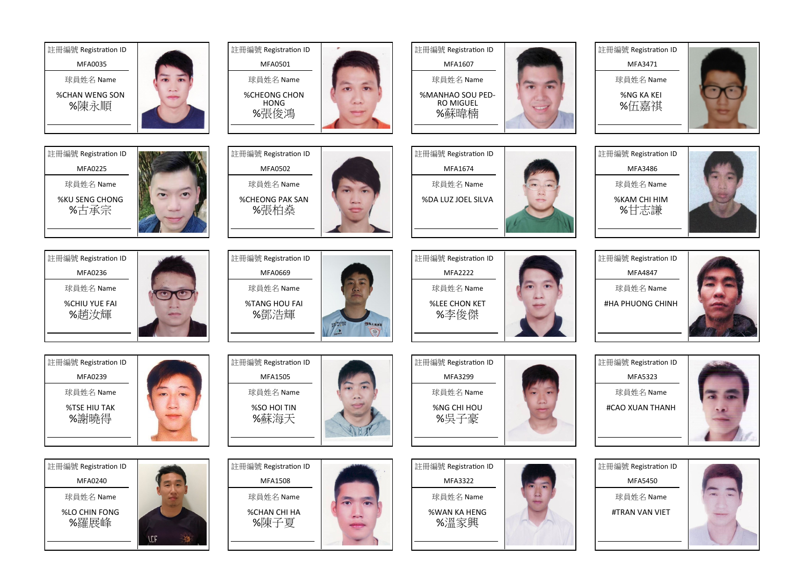